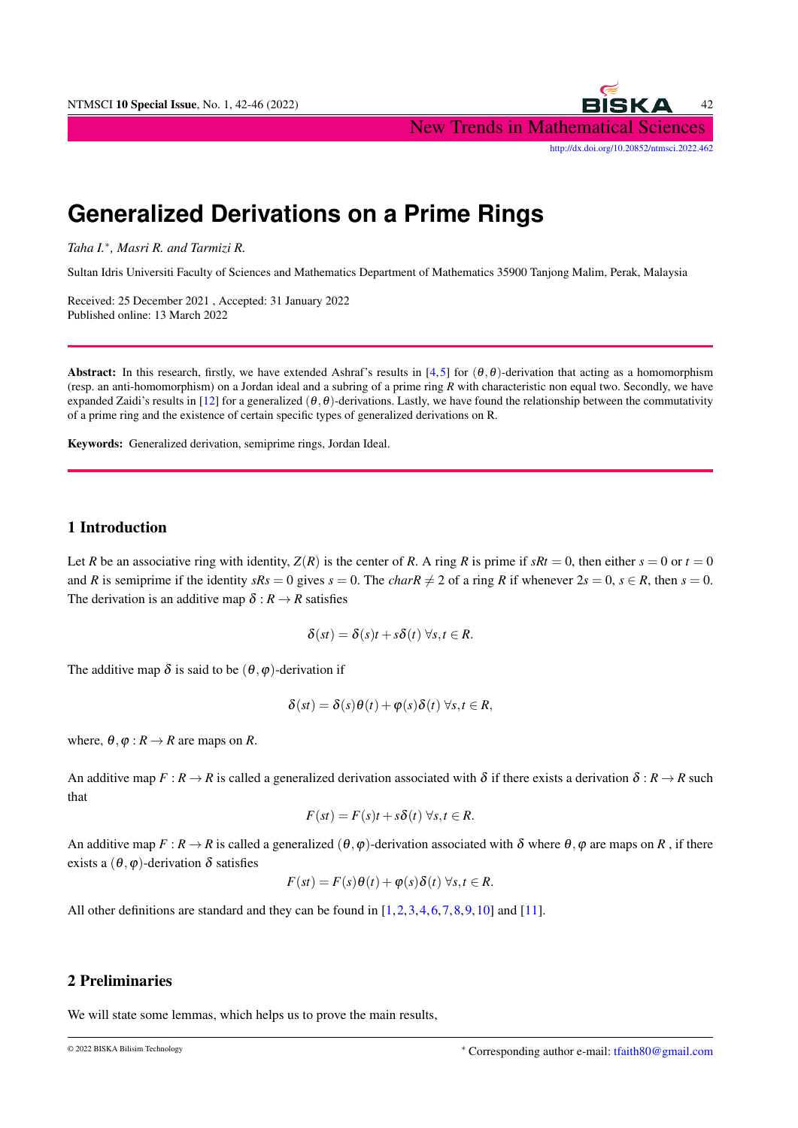

# **Generalized Derivations on a Prime Rings**

*Taha I.*<sup>∗</sup> *, Masri R. and Tarmizi R.*

Sultan Idris Universiti Faculty of Sciences and Mathematics Department of Mathematics 35900 Tanjong Malim, Perak, Malaysia

Received: 25 December 2021 , Accepted: 31 January 2022 Published online: 13 March 2022

Abstract: In this research, firstly, we have extended Ashraf's results in [\[4,](#page-4-0)[5\]](#page-4-1) for  $(\theta, \theta)$ -derivation that acting as a homomorphism (resp. an anti-homomorphism) on a Jordan ideal and a subring of a prime ring *R* with characteristic non equal two. Secondly, we have expanded Zaidi's results in [\[12\]](#page-4-2) for a generalized  $(\theta, \theta)$ -derivations. Lastly, we have found the relationship between the commutativity of a prime ring and the existence of certain specific types of generalized derivations on R.

Keywords: Generalized derivation, semiprime rings, Jordan Ideal.

# 1 Introduction

Let *R* be an associative ring with identity,  $Z(R)$  is the center of *R*. A ring *R* is prime if  $sRt = 0$ , then either  $s = 0$  or  $t = 0$ and *R* is semiprime if the identity  $sRs = 0$  gives  $s = 0$ . The *charR*  $\neq 2$  of a ring *R* if whenever  $2s = 0$ ,  $s \in R$ , then  $s = 0$ . The derivation is an additive map  $\delta : R \to R$  satisfies

$$
\delta(st) = \delta(s)t + s\delta(t) \,\forall s, t \in R.
$$

The additive map  $\delta$  is said to be  $(\theta, \varphi)$ -derivation if

$$
\delta(st) = \delta(s)\theta(t) + \varphi(s)\delta(t) \,\forall s,t \in R,
$$

where,  $\theta$ ,  $\varphi$  :  $R \rightarrow R$  are maps on *R*.

An additive map  $F: R \to R$  is called a generalized derivation associated with  $\delta$  if there exists a derivation  $\delta: R \to R$  such that

$$
F(st) = F(s)t + s\delta(t) \,\forall s, t \in R.
$$

An additive map  $F: R \to R$  is called a generalized  $(\theta, \varphi)$ -derivation associated with  $\delta$  where  $\theta, \varphi$  are maps on  $R$ , if there exists a  $(\theta, \varphi)$ -derivation  $\delta$  satisfies

$$
F(st) = F(s)\theta(t) + \varphi(s)\delta(t) \,\forall s, t \in R.
$$

All other definitions are standard and they can be found in [\[1,](#page-4-3)[2,](#page-4-4)[3,](#page-4-5)[4,](#page-4-0)[6,](#page-4-6)[7,](#page-4-7)[8,](#page-4-8)[9,](#page-4-9)[10\]](#page-4-10) and [\[11\]](#page-4-11).

## 2 Preliminaries

We will state some lemmas, which helps us to prove the main results,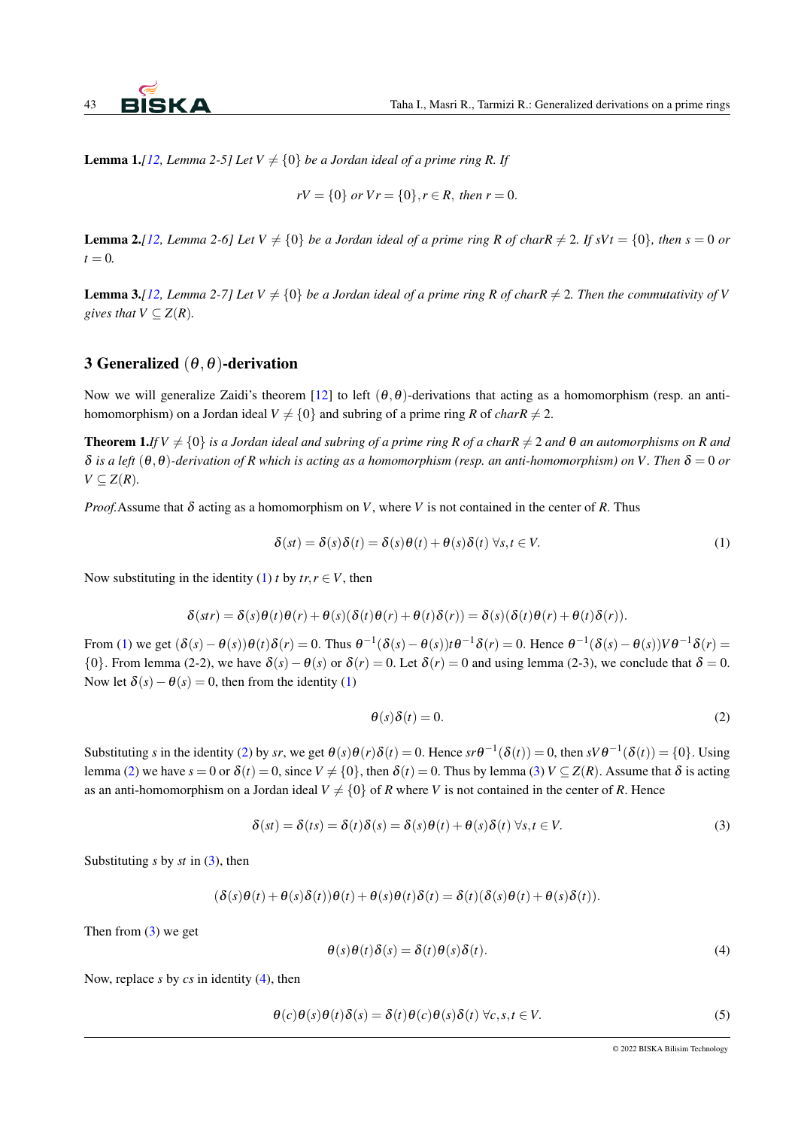**Lemma 1.***[\[12,](#page-4-2) Lemma 2-5] Let*  $V \neq \{0\}$  *be a Jordan ideal of a prime ring R. If* 

$$
rV = \{0\} \text{ or } Vr = \{0\}, r \in R, \text{ then } r = 0.
$$

<span id="page-1-2"></span>**Lemma 2.***[\[12,](#page-4-2) Lemma 2-6] Let*  $V \neq \{0\}$  *be a Jordan ideal of a prime ring R of charR*  $\neq$  2*. If sVt* =  $\{0\}$ *, then s* = 0 *or*  $t = 0$ .

<span id="page-1-3"></span>**Lemma 3.***[\[12,](#page-4-2) Lemma 2-7] Let*  $V \neq \{0\}$  *be a Jordan ideal of a prime ring R of charR*  $\neq$  2*. Then the commutativity of V gives that*  $V \subseteq Z(R)$ *.* 

#### 3 Generalized  $(\theta, \theta)$ -derivation

Now we will generalize Zaidi's theorem [\[12\]](#page-4-2) to left  $(\theta, \theta)$ -derivations that acting as a homomorphism (resp. an antihomomorphism) on a Jordan ideal  $V \neq \{0\}$  and subring of a prime ring *R* of *charR*  $\neq$  2.

**Theorem 1.***If*  $V \neq \{0\}$  *is a Jordan ideal and subring of a prime ring R of a charR*  $\neq 2$  *and*  $\theta$  *an automorphisms on R and*  $δ$  *is a left*  $(θ, θ)$ -derivation of R which is acting as a homomorphism (resp. an anti-homomorphism) on V. Then  $δ = 0$  or  $V \subseteq Z(R)$ .

*Proof.*Assume that δ acting as a homomorphism on *V*, where *V* is not contained in the center of *R*. Thus

$$
\delta(st) = \delta(s)\delta(t) = \delta(s)\theta(t) + \theta(s)\delta(t) \,\forall s, t \in V. \tag{1}
$$

<span id="page-1-1"></span>Now substituting in the identity [\(1\)](#page-1-0) *t* by  $tr, r \in V$ , then

$$
\delta(str) = \delta(s)\theta(t)\theta(r) + \theta(s)(\delta(t)\theta(r) + \theta(t)\delta(r)) = \delta(s)(\delta(t)\theta(r) + \theta(t)\delta(r)).
$$

From [\(1\)](#page-1-0) we get  $(\delta(s) - \theta(s))\theta(t)\delta(r) = 0$ . Thus  $\theta^{-1}(\delta(s) - \theta(s))t\theta^{-1}\delta(r) = 0$ . Hence  $\theta^{-1}(\delta(s) - \theta(s))V\theta^{-1}\delta(r) = 0$ . {0}. From lemma (2-2), we have  $\delta(s) - \theta(s)$  or  $\delta(r) = 0$ . Let  $\delta(r) = 0$  and using lemma (2-3), we conclude that  $\delta = 0$ . Now let  $\delta(s) - \theta(s) = 0$ , then from the identity [\(1\)](#page-1-0)

<span id="page-1-4"></span><span id="page-1-0"></span>
$$
\theta(s)\delta(t) = 0. \tag{2}
$$

Substituting *s* in the identity [\(2\)](#page-1-1) by *sr*, we get  $\theta(s)\theta(r)\delta(t) = 0$ . Hence  $sr\theta^{-1}(\delta(t)) = 0$ , then  $sV\theta^{-1}(\delta(t)) = \{0\}$ . Using lemma [\(2\)](#page-1-2) we have  $s = 0$  or  $\delta(t) = 0$ , since  $V \neq \{0\}$ , then  $\delta(t) = 0$ . Thus by lemma [\(3\)](#page-1-3)  $V \subseteq Z(R)$ . Assume that  $\delta$  is acting as an anti-homomorphism on a Jordan ideal  $V \neq \{0\}$  of *R* where *V* is not contained in the center of *R*. Hence

<span id="page-1-5"></span>
$$
\delta(st) = \delta(ts) = \delta(t)\delta(s) = \delta(s)\theta(t) + \theta(s)\delta(t) \,\forall s, t \in V. \tag{3}
$$

Substituting *s* by *st* in [\(3\)](#page-1-4), then

$$
(\delta(s)\theta(t)+\theta(s)\delta(t))\theta(t)+\theta(s)\theta(t)\delta(t)=\delta(t)(\delta(s)\theta(t)+\theta(s)\delta(t)).
$$

Then from [\(3\)](#page-1-4) we get

<span id="page-1-6"></span>
$$
\theta(s)\theta(t)\delta(s) = \delta(t)\theta(s)\delta(t). \tag{4}
$$

Now, replace *s* by *cs* in identity [\(4\)](#page-1-5), then

$$
\theta(c)\theta(s)\theta(t)\delta(s) = \delta(t)\theta(c)\theta(s)\delta(t) \,\forall c, s, t \in V. \tag{5}
$$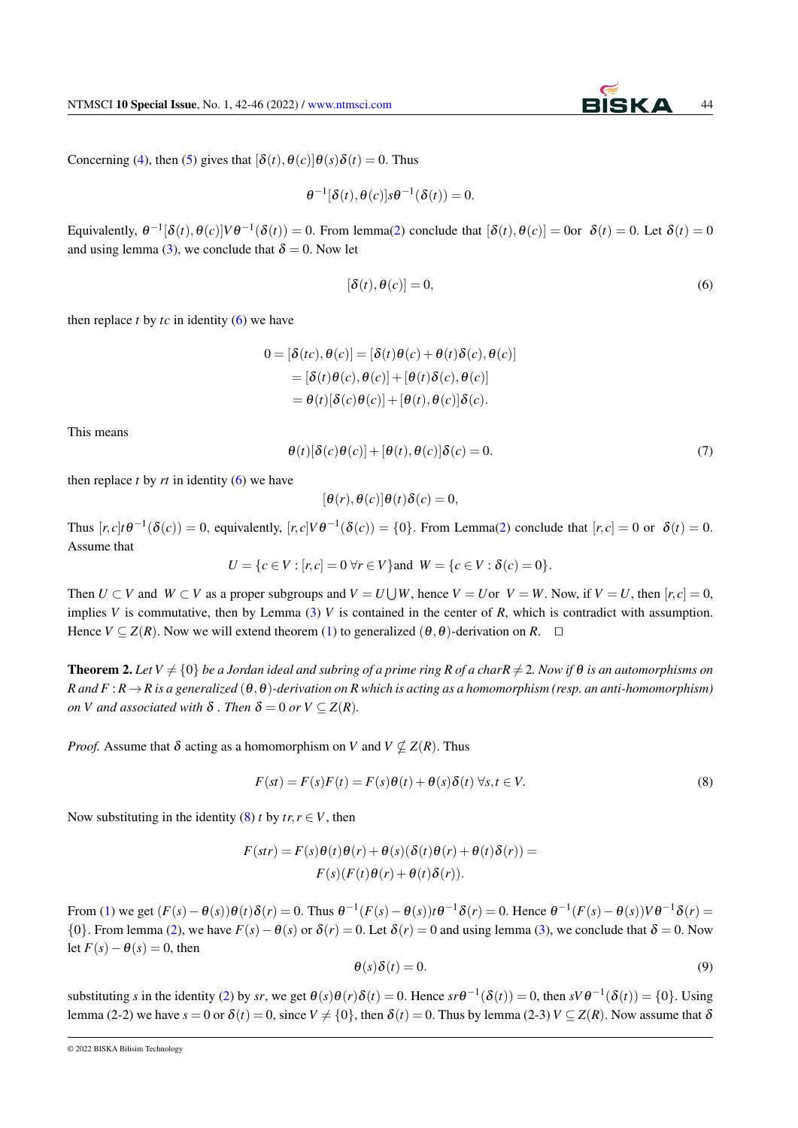Concerning [\(4\)](#page-1-5), then [\(5\)](#page-1-6) gives that  $[\delta(t), \theta(c)]\theta(s)\delta(t) = 0$ . Thus

<span id="page-2-0"></span>
$$
\theta^{-1}[\delta(t), \theta(c)]s\theta^{-1}(\delta(t)) = 0.
$$

Equivalently,  $\theta^{-1}[\delta(t), \theta(c)]V\theta^{-1}(\delta(t)) = 0$ . From lemma[\(2\)](#page-1-2) conclude that  $[\delta(t), \theta(c)] = 0$ or  $\delta(t) = 0$ . Let  $\delta(t) = 0$ and using lemma [\(3\)](#page-1-3), we conclude that  $\delta = 0$ . Now let

$$
[\delta(t), \theta(c)] = 0,\t\t(6)
$$

then replace  $t$  by  $tc$  in identity  $(6)$  we have

$$
0 = [\delta(tc), \theta(c)] = [\delta(t)\theta(c) + \theta(t)\delta(c), \theta(c)]
$$
  
= [\delta(t)\theta(c), \theta(c)] + [\theta(t)\delta(c), \theta(c)]  
= \theta(t)[\delta(c)\theta(c)] + [\theta(t), \theta(c)]\delta(c).

This means

$$
\theta(t)[\delta(c)\theta(c)] + [\theta(t), \theta(c)]\delta(c) = 0.
$$
\n(7)

then replace  $t$  by  $rt$  in identity  $(6)$  we have

$$
[\theta(r), \theta(c)]\theta(t)\delta(c) = 0,
$$

<span id="page-2-1"></span>Thus  $[r, c] \mathbf{t} \theta^{-1}(\delta(c)) = 0$ , equivalently,  $[r, c] \mathbf{V} \theta^{-1}(\delta(c)) = \{0\}$ . From Lemma[\(2\)](#page-1-1) conclude that  $[r, c] = 0$  or  $\delta(t) = 0$ . Assume that

$$
U = \{c \in V : [r, c] = 0 \,\forall r \in V\} \text{and } W = \{c \in V : \delta(c) = 0\}.
$$

Then  $U \subset V$  and  $W \subset V$  as a proper subgroups and  $V = U \cup W$ , hence  $V = U$  or  $V = W$ . Now, if  $V = U$ , then  $[r, c] = 0$ , implies *V* is commutative, then by Lemma [\(3\)](#page-1-3) *V* is contained in the center of *R*, which is contradict with assumption. Hence  $V \subseteq Z(R)$ . Now we will extend theorem [\(1\)](#page-1-0) to generalized  $(\theta, \theta)$ -derivation on R. □

**Theorem 2.** Let  $V \neq \{0\}$  be a Jordan ideal and subring of a prime ring R of a charR  $\neq$  2. Now if  $\theta$  is an automorphisms on  $R$  and  $F: R \to R$  is a generalized  $(\theta, \theta)$ -derivation on R which is acting as a homomorphism (resp. an anti-homomorphism) *on V and associated with*  $\delta$  *. Then*  $\delta = 0$  *or*  $V \subseteq Z(R)$ *.* 

*Proof.* Assume that  $\delta$  acting as a homomorphism on *V* and  $V \nsubseteq Z(R)$ . Thus

$$
F(st) = F(s)F(t) = F(s)\theta(t) + \theta(s)\delta(t) \,\forall s, t \in V.
$$
\n<sup>(8)</sup>

Now substituting in the identity [\(8\)](#page-2-1) *t* by  $tr, r \in V$ , then

$$
F(str) = F(s)\theta(t)\theta(r) + \theta(s)(\delta(t)\theta(r) + \theta(t)\delta(r)) =
$$
  

$$
F(s)(F(t)\theta(r) + \theta(t)\delta(r)).
$$

From [\(1\)](#page-1-0) we get  $(F(s) - \theta(s))\theta(t)\delta(r) = 0$ . Thus  $\theta^{-1}(F(s) - \theta(s))t\theta^{-1}\delta(r) = 0$ . Hence  $\theta^{-1}(F(s) - \theta(s))V\theta^{-1}\delta(r) = 0$ . {0}. From lemma [\(2\)](#page-1-2), we have  $F(s) - \theta(s)$  or  $\delta(r) = 0$ . Let  $\delta(r) = 0$  and using lemma [\(3\)](#page-1-3), we conclude that  $\delta = 0$ . Now let  $F(s) - \theta(s) = 0$ , then

$$
\theta(s)\delta(t) = 0.\tag{9}
$$

substituting *s* in the identity [\(2\)](#page-1-1) by *sr*, we get  $\theta(s)\theta(r)\delta(t) = 0$ . Hence  $sr\theta^{-1}(\delta(t)) = 0$ , then  $sV\theta^{-1}(\delta(t)) = \{0\}$ . Using lemma (2-2) we have  $s = 0$  or  $\delta(t) = 0$ , since  $V \neq \{0\}$ , then  $\delta(t) = 0$ . Thus by lemma (2-3)  $V \subseteq Z(R)$ . Now assume that  $\delta$ 

<sup>© 2022</sup> BISKA Bilisim Technology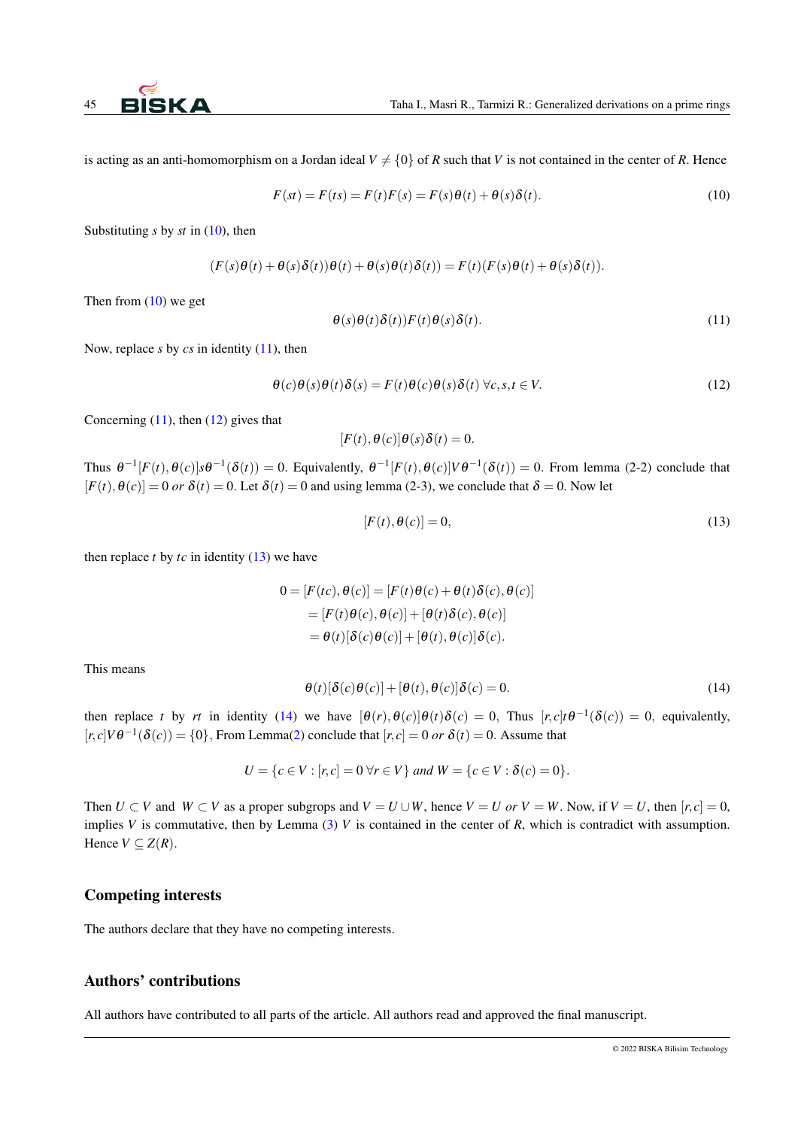

is acting as an anti-homomorphism on a Jordan ideal  $V \neq \{0\}$  of *R* such that *V* is not contained in the center of *R*. Hence

<span id="page-3-1"></span>
$$
F(st) = F(ts) = F(t)F(s) = F(s)\theta(t) + \theta(s)\delta(t).
$$
\n(10)

Substituting *s* by *st* in [\(10\)](#page-3-0), then

$$
(F(s)\theta(t)+\theta(s)\delta(t))\theta(t)+\theta(s)\theta(t)\delta(t))=F(t)(F(s)\theta(t)+\theta(s)\delta(t)).
$$

Then from  $(10)$  we get

<span id="page-3-2"></span><span id="page-3-0"></span>
$$
\theta(s)\theta(t)\delta(t))F(t)\theta(s)\delta(t). \tag{11}
$$

Now, replace *s* by *cs* in identity [\(11\)](#page-3-1), then

<span id="page-3-3"></span>
$$
\theta(c)\theta(s)\theta(t)\delta(s) = F(t)\theta(c)\theta(s)\delta(t) \,\forall c, s, t \in V. \tag{12}
$$

Concerning  $(11)$ , then  $(12)$  gives that

 $[F(t), \theta(c)]\theta(s)\delta(t) = 0.$ 

Thus  $\theta^{-1}[F(t),\theta(c)]s\theta^{-1}(\delta(t)) = 0$ . Equivalently,  $\theta^{-1}[F(t),\theta(c)]V\theta^{-1}(\delta(t)) = 0$ . From lemma (2-2) conclude that  $[F(t), \theta(c)] = 0$  *or*  $\delta(t) = 0$ . Let  $\delta(t) = 0$  and using lemma (2-3), we conclude that  $\delta = 0$ . Now let

<span id="page-3-4"></span>
$$
[F(t), \theta(c)] = 0,\t(13)
$$

then replace  $t$  by  $tc$  in identity [\(13\)](#page-3-3) we have

$$
0 = [F(tc), \theta(c)] = [F(t)\theta(c) + \theta(t)\delta(c), \theta(c)]
$$
  
= [F(t)\theta(c), \theta(c)] + [\theta(t)\delta(c), \theta(c)]  
= \theta(t)[\delta(c)\theta(c)] + [\theta(t), \theta(c)]\delta(c).

This means

$$
\theta(t)[\delta(c)\theta(c)] + [\theta(t), \theta(c)]\delta(c) = 0.
$$
\n(14)

then replace *t* by *rt* in identity [\(14\)](#page-3-4) we have  $[\theta(r), \theta(c)]\theta(t)\delta(c) = 0$ , Thus  $[r, c]t\theta^{-1}(\delta(c)) = 0$ , equivalently,  $[r, c]$  $V \theta^{-1}(\delta(c)) = \{0\}$ , From Lemma[\(2\)](#page-1-1) conclude that  $[r, c] = 0$  or  $\delta(t) = 0$ . Assume that

$$
U = \{c \in V : [r, c] = 0 \,\forall r \in V\} \text{ and } W = \{c \in V : \delta(c) = 0\}.
$$

Then  $U \subset V$  and  $W \subset V$  as a proper subgrops and  $V = U \cup W$ , hence  $V = U$  or  $V = W$ . Now, if  $V = U$ , then  $[r, c] = 0$ , implies *V* is commutative, then by Lemma [\(3\)](#page-1-3) *V* is contained in the center of *R*, which is contradict with assumption. Hence  $V \subset Z(R)$ .

## Competing interests

The authors declare that they have no competing interests.

## Authors' contributions

All authors have contributed to all parts of the article. All authors read and approved the final manuscript.